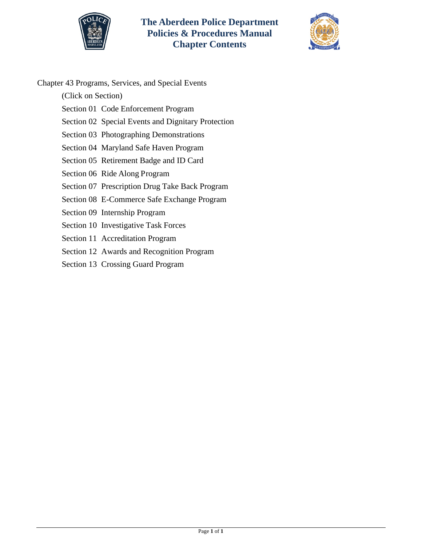



Chapter 43 Programs, Services, and Special Events

(Click on Section)

- [Section 01 Code Enforcement Program](#page-1-0)
- [Section 02 Special Events and Dignitary Protection](#page-4-0)
- [Section 03 Photographing](#page-6-0) Demonstrations
- [Section 04 Maryland Safe Haven Program](#page-7-0)
- [Section 05 Retirement Badge and](#page-9-0) ID Card
- [Section 06 Ride Along Program](#page-11-0)
- [Section 07 Prescription Drug Take Back Program](#page-13-0)
- [Section 08 E-Commerce Safe Exchange Program](#page-15-0)
- [Section 09 Internship Program](#page-16-0)
- [Section 10 Investigative Task Forces](#page-20-0)
- [Section 11 Accreditation Program](#page-21-0)
- [Section 12 Awards and Recognition Program](#page-23-0)
- [Section 13 Crossing Guard Program](#page-28-0)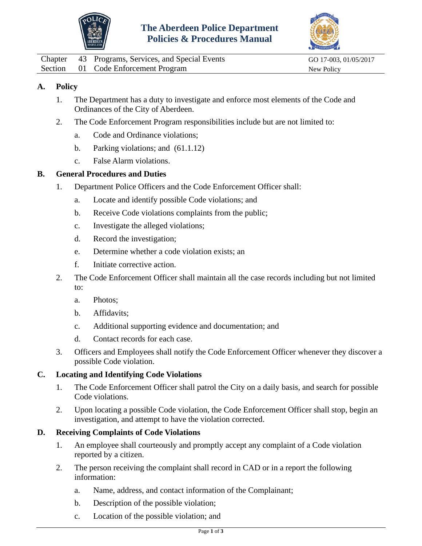



<span id="page-1-0"></span>

|  | Chapter 43 Programs, Services, and Special Events | GO 17-003, 01/05/2017 |
|--|---------------------------------------------------|-----------------------|
|  | Section 01 Code Enforcement Program               | New Policy            |

- 1. The Department has a duty to investigate and enforce most elements of the Code and Ordinances of the City of Aberdeen.
- 2. The Code Enforcement Program responsibilities include but are not limited to:
	- a. Code and Ordinance violations;
	- b. Parking violations; and (61.1.12)
	- c. False Alarm violations.

#### **B. General Procedures and Duties**

- 1. Department Police Officers and the Code Enforcement Officer shall:
	- a. Locate and identify possible Code violations; and
	- b. Receive Code violations complaints from the public;
	- c. Investigate the alleged violations;
	- d. Record the investigation;
	- e. Determine whether a code violation exists; an
	- f. Initiate corrective action.
- 2. The Code Enforcement Officer shall maintain all the case records including but not limited to:
	- a. Photos;
	- b. Affidavits;
	- c. Additional supporting evidence and documentation; and
	- d. Contact records for each case.
- 3. Officers and Employees shall notify the Code Enforcement Officer whenever they discover a possible Code violation.

#### **C. Locating and Identifying Code Violations**

- 1. The Code Enforcement Officer shall patrol the City on a daily basis, and search for possible Code violations.
- 2. Upon locating a possible Code violation, the Code Enforcement Officer shall stop, begin an investigation, and attempt to have the violation corrected.

### **D. Receiving Complaints of Code Violations**

- 1. An employee shall courteously and promptly accept any complaint of a Code violation reported by a citizen.
- 2. The person receiving the complaint shall record in CAD or in a report the following information:
	- a. Name, address, and contact information of the Complainant;
	- b. Description of the possible violation;
	- c. Location of the possible violation; and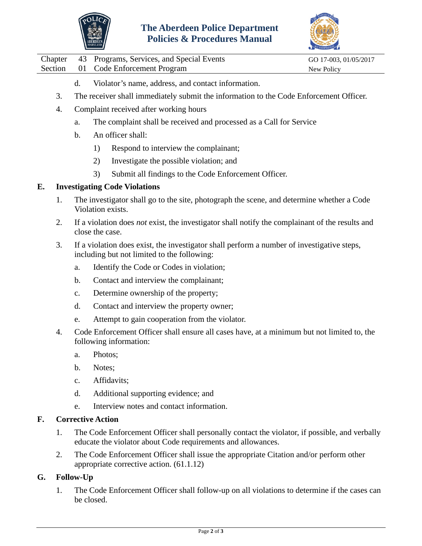



|  | Chapter 43 Programs, Services, and Special Events | GO 17-003, 01/05/2017 |
|--|---------------------------------------------------|-----------------------|
|  | Section 01 Code Enforcement Program               | New Policy            |

- d. Violator's name, address, and contact information.
- 3. The receiver shall immediately submit the information to the Code Enforcement Officer.
- 4. Complaint received after working hours
	- a. The complaint shall be received and processed as a Call for Service
	- b. An officer shall:
		- 1) Respond to interview the complainant;
		- 2) Investigate the possible violation; and
		- 3) Submit all findings to the Code Enforcement Officer.

#### **E. Investigating Code Violations**

- 1. The investigator shall go to the site, photograph the scene, and determine whether a Code Violation exists.
- 2. If a violation does *not* exist, the investigator shall notify the complainant of the results and close the case.
- 3. If a violation does exist, the investigator shall perform a number of investigative steps, including but not limited to the following:
	- a. Identify the Code or Codes in violation;
	- b. Contact and interview the complainant;
	- c. Determine ownership of the property;
	- d. Contact and interview the property owner;
	- e. Attempt to gain cooperation from the violator.
- 4. Code Enforcement Officer shall ensure all cases have, at a minimum but not limited to, the following information:
	- a. Photos;
	- b. Notes;
	- c. Affidavits;
	- d. Additional supporting evidence; and
	- e. Interview notes and contact information.

#### **F. Corrective Action**

- 1. The Code Enforcement Officer shall personally contact the violator, if possible, and verbally educate the violator about Code requirements and allowances.
- 2. The Code Enforcement Officer shall issue the appropriate Citation and/or perform other appropriate corrective action. (61.1.12)

### **G. Follow-Up**

1. The Code Enforcement Officer shall follow-up on all violations to determine if the cases can be closed.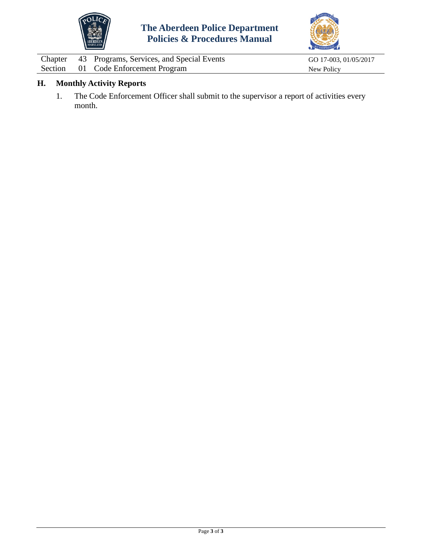



|  | Chapter 43 Programs, Services, and Special Events | GO 17-003, 01/05/2017 |
|--|---------------------------------------------------|-----------------------|
|  | Section 01 Code Enforcement Program               | New Policy            |

# **H. Monthly Activity Reports**

1. The Code Enforcement Officer shall submit to the supervisor a report of activities every month.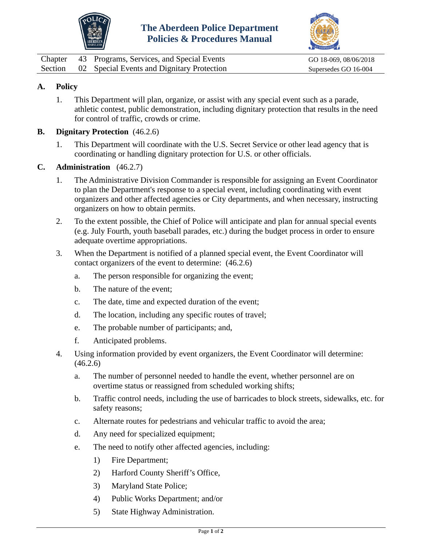



<span id="page-4-0"></span>

|  | Chapter 43 Programs, Services, and Special Events  | GO 18-069, 08/06/2018 |
|--|----------------------------------------------------|-----------------------|
|  | Section 02 Special Events and Dignitary Protection | Supersedes GO 16-004  |

1. This Department will plan, organize, or assist with any special event such as a parade, athletic contest, public demonstration, including dignitary protection that results in the need for control of traffic, crowds or crime.

## **B. Dignitary Protection** (46.2.6)

1. This Department will coordinate with the U.S. Secret Service or other lead agency that is coordinating or handling dignitary protection for U.S. or other officials.

### **C. Administration** (46.2.7)

- 1. The Administrative Division Commander is responsible for assigning an Event Coordinator to plan the Department's response to a special event, including coordinating with event organizers and other affected agencies or City departments, and when necessary, instructing organizers on how to obtain permits.
- 2. To the extent possible, the Chief of Police will anticipate and plan for annual special events (e.g. July Fourth, youth baseball parades, etc.) during the budget process in order to ensure adequate overtime appropriations.
- 3. When the Department is notified of a planned special event, the Event Coordinator will contact organizers of the event to determine: (46.2.6)
	- a. The person responsible for organizing the event;
	- b. The nature of the event;
	- c. The date, time and expected duration of the event;
	- d. The location, including any specific routes of travel;
	- e. The probable number of participants; and,
	- f. Anticipated problems.
- 4. Using information provided by event organizers, the Event Coordinator will determine: (46.2.6)
	- a. The number of personnel needed to handle the event, whether personnel are on overtime status or reassigned from scheduled working shifts;
	- b. Traffic control needs, including the use of barricades to block streets, sidewalks, etc. for safety reasons;
	- c. Alternate routes for pedestrians and vehicular traffic to avoid the area;
	- d. Any need for specialized equipment;
	- e. The need to notify other affected agencies, including:
		- 1) Fire Department;
		- 2) Harford County Sheriff's Office,
		- 3) Maryland State Police;
		- 4) Public Works Department; and/or
		- 5) State Highway Administration.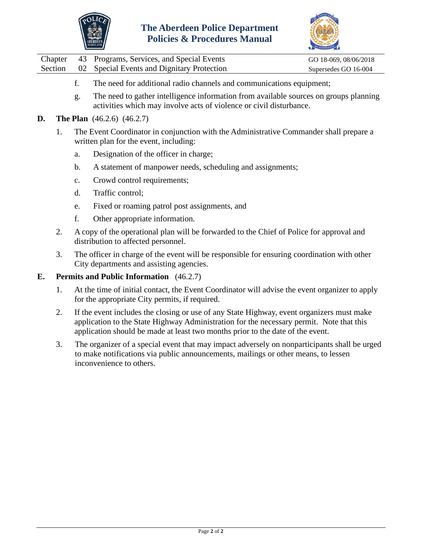



|  | Chapter 43 Programs, Services, and Special Events  | GO 18-069, 08/06/2018 |
|--|----------------------------------------------------|-----------------------|
|  | Section 02 Special Events and Dignitary Protection | Supersedes GO 16-004  |

- f. The need for additional radio channels and communications equipment;
- g. The need to gather intelligence information from available sources on groups planning activities which may involve acts of violence or civil disturbance.
- **D. The Plan** (46.2.6) (46.2.7)
	- 1. The Event Coordinator in conjunction with the Administrative Commander shall prepare a written plan for the event, including:
		- a. Designation of the officer in charge;
		- b. A statement of manpower needs, scheduling and assignments;
		- c. Crowd control requirements;
		- d. Traffic control;
		- e. Fixed or roaming patrol post assignments, and
		- f. Other appropriate information.
	- 2. A copy of the operational plan will be forwarded to the Chief of Police for approval and distribution to affected personnel.
	- 3. The officer in charge of the event will be responsible for ensuring coordination with other City departments and assisting agencies.

#### **E. Permits and Public Information** (46.2.7)

- 1. At the time of initial contact, the Event Coordinator will advise the event organizer to apply for the appropriate City permits, if required.
- 2. If the event includes the closing or use of any State Highway, event organizers must make application to the State Highway Administration for the necessary permit. Note that this application should be made at least two months prior to the date of the event.
- 3. The organizer of a special event that may impact adversely on nonparticipants shall be urged to make notifications via public announcements, mailings or other means, to lessen inconvenience to others.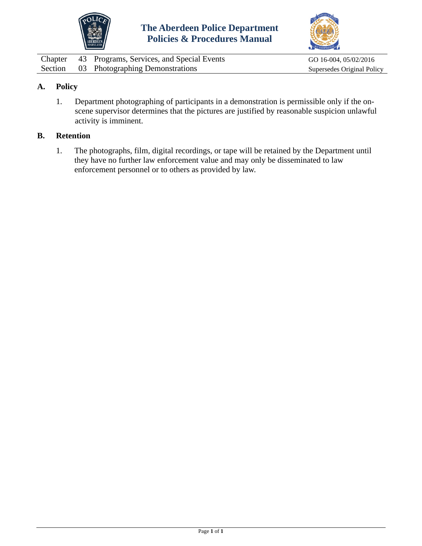



<span id="page-6-0"></span>

|  | Chapter 43 Programs, Services, and Special Events | GO 16-004, 05/02/2016      |
|--|---------------------------------------------------|----------------------------|
|  | Section 03 Photographing Demonstrations           | Supersedes Original Policy |

1. Department photographing of participants in a demonstration is permissible only if the onscene supervisor determines that the pictures are justified by reasonable suspicion unlawful activity is imminent.

#### **B. Retention**

1. The photographs, film, digital recordings, or tape will be retained by the Department until they have no further law enforcement value and may only be disseminated to law enforcement personnel or to others as provided by law.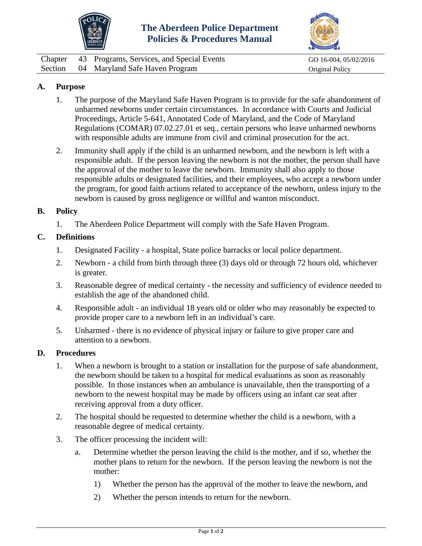



<span id="page-7-0"></span>

| Chapter | 43 Programs, Services, and Special Events | GO 16-004, 05/02/2016  |
|---------|-------------------------------------------|------------------------|
|         | Section 04 Maryland Safe Haven Program    | <b>Original Policy</b> |

## **A. Purpose**

- 1. The purpose of the Maryland Safe Haven Program is to provide for the safe abandonment of unharmed newborns under certain circumstances. In accordance with Courts and Judicial Proceedings, Article 5-641, Annotated Code of Maryland, and the Code of Maryland Regulations (COMAR) 07.02.27.01 et seq., certain persons who leave unharmed newborns with responsible adults are immune from civil and criminal prosecution for the act.
- 2. Immunity shall apply if the child is an unharmed newborn, and the newborn is left with a responsible adult. If the person leaving the newborn is not the mother, the person shall have the approval of the mother to leave the newborn. Immunity shall also apply to those responsible adults or designated facilities, and their employees, who accept a newborn under the program, for good faith actions related to acceptance of the newborn, unless injury to the newborn is caused by gross negligence or willful and wanton misconduct.

#### **B. Policy**

1. The Aberdeen Police Department will comply with the Safe Haven Program.

### **C. Definitions**

- 1. Designated Facility a hospital, State police barracks or local police department.
- 2. Newborn a child from birth through three (3) days old or through 72 hours old, whichever is greater.
- 3. Reasonable degree of medical certainty the necessity and sufficiency of evidence needed to establish the age of the abandoned child.
- 4. Responsible adult an individual 18 years old or older who may reasonably be expected to provide proper care to a newborn left in an individual's care.
- 5. Unharmed there is no evidence of physical injury or failure to give proper care and attention to a newborn.

#### **D. Procedures**

- 1. When a newborn is brought to a station or installation for the purpose of safe abandonment, the newborn should be taken to a hospital for medical evaluations as soon as reasonably possible. In those instances when an ambulance is unavailable, then the transporting of a newborn to the newest hospital may be made by officers using an infant car seat after receiving approval from a duty officer.
- 2. The hospital should be requested to determine whether the child is a newborn, with a reasonable degree of medical certainty.
- 3. The officer processing the incident will:
	- a. Determine whether the person leaving the child is the mother, and if so, whether the mother plans to return for the newborn. If the person leaving the newborn is not the mother:
		- 1) Whether the person has the approval of the mother to leave the newborn, and
		- 2) Whether the person intends to return for the newborn.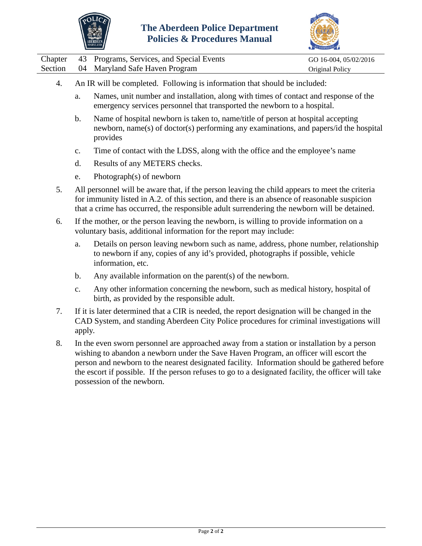



|  | Chapter 43 Programs, Services, and Special Events | GO 16-004, 05/02/2016 |
|--|---------------------------------------------------|-----------------------|
|  | Section 04 Maryland Safe Haven Program            | Original Policy       |

- 4. An IR will be completed. Following is information that should be included:
	- a. Names, unit number and installation, along with times of contact and response of the emergency services personnel that transported the newborn to a hospital.
	- b. Name of hospital newborn is taken to, name/title of person at hospital accepting newborn, name(s) of doctor(s) performing any examinations, and papers/id the hospital provides
	- c. Time of contact with the LDSS, along with the office and the employee's name
	- d. Results of any METERS checks.
	- e. Photograph(s) of newborn
- 5. All personnel will be aware that, if the person leaving the child appears to meet the criteria for immunity listed in A.2. of this section, and there is an absence of reasonable suspicion that a crime has occurred, the responsible adult surrendering the newborn will be detained.
- 6. If the mother, or the person leaving the newborn, is willing to provide information on a voluntary basis, additional information for the report may include:
	- a. Details on person leaving newborn such as name, address, phone number, relationship to newborn if any, copies of any id's provided, photographs if possible, vehicle information, etc.
	- b. Any available information on the parent(s) of the newborn.
	- c. Any other information concerning the newborn, such as medical history, hospital of birth, as provided by the responsible adult.
- 7. If it is later determined that a CIR is needed, the report designation will be changed in the CAD System, and standing Aberdeen City Police procedures for criminal investigations will apply.
- 8. In the even sworn personnel are approached away from a station or installation by a person wishing to abandon a newborn under the Save Haven Program, an officer will escort the person and newborn to the nearest designated facility. Information should be gathered before the escort if possible. If the person refuses to go to a designated facility, the officer will take possession of the newborn.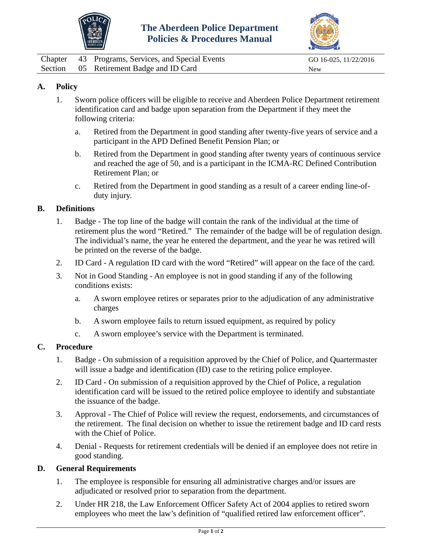



<span id="page-9-0"></span>

|  | Chapter 43 Programs, Services, and Special Events | GO 16-025, 11/22/2016 |
|--|---------------------------------------------------|-----------------------|
|  | Section 05 Retirement Badge and ID Card           | New                   |

- 1. Sworn police officers will be eligible to receive and Aberdeen Police Department retirement identification card and badge upon separation from the Department if they meet the following criteria:
	- a. Retired from the Department in good standing after twenty-five years of service and a participant in the APD Defined Benefit Pension Plan; or
	- b. Retired from the Department in good standing after twenty years of continuous service and reached the age of 50, and is a participant in the ICMA-RC Defined Contribution Retirement Plan; or
	- c. Retired from the Department in good standing as a result of a career ending line-ofduty injury.

#### **B. Definitions**

- 1. Badge The top line of the badge will contain the rank of the individual at the time of retirement plus the word "Retired." The remainder of the badge will be of regulation design. The individual's name, the year he entered the department, and the year he was retired will be printed on the reverse of the badge.
- 2. ID Card A regulation ID card with the word "Retired" will appear on the face of the card.
- 3. Not in Good Standing An employee is not in good standing if any of the following conditions exists:
	- a. A sworn employee retires or separates prior to the adjudication of any administrative charges
	- b. A sworn employee fails to return issued equipment, as required by policy
	- c. A sworn employee's service with the Department is terminated.

#### **C. Procedure**

- 1. Badge On submission of a requisition approved by the Chief of Police, and Quartermaster will issue a badge and identification (ID) case to the retiring police employee.
- 2. ID Card On submission of a requisition approved by the Chief of Police, a regulation identification card will be issued to the retired police employee to identify and substantiate the issuance of the badge.
- 3. Approval The Chief of Police will review the request, endorsements, and circumstances of the retirement. The final decision on whether to issue the retirement badge and ID card rests with the Chief of Police.
- 4. Denial Requests for retirement credentials will be denied if an employee does not retire in good standing.

#### **D. General Requirements**

- 1. The employee is responsible for ensuring all administrative charges and/or issues are adjudicated or resolved prior to separation from the department.
- 2. Under HR 218, the Law Enforcement Officer Safety Act of 2004 applies to retired sworn employees who meet the law's definition of "qualified retired law enforcement officer".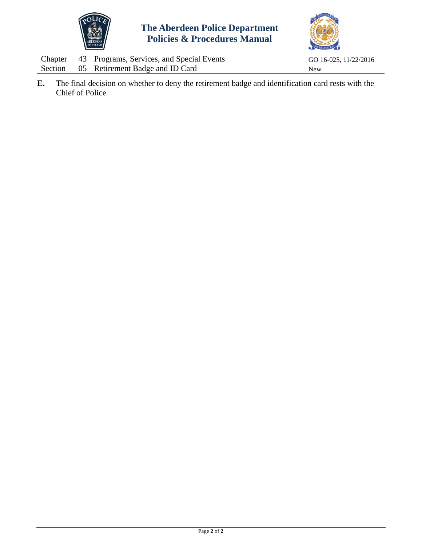



|  | Chapter 43 Programs, Services, and Special Events | GO 16-025, 11/22/2016 |
|--|---------------------------------------------------|-----------------------|
|  | Section 05 Retirement Badge and ID Card           | <b>New</b>            |

**E.** The final decision on whether to deny the retirement badge and identification card rests with the Chief of Police.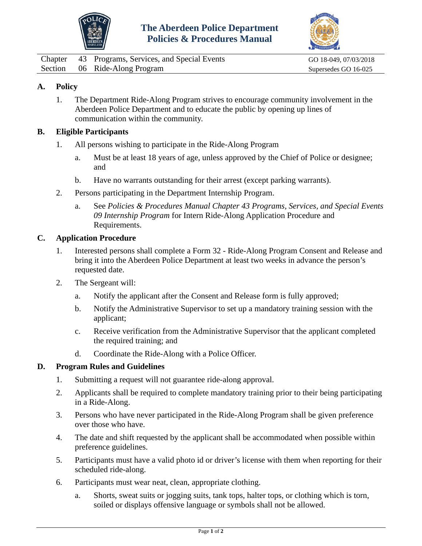



<span id="page-11-0"></span>Chapter 43 Programs, Services, and Special Events GO 18-049, 07/03/2018 Section 06 Ride-Along Program Supersedes GO 16-025

## **A. Policy**

1. The Department Ride-Along Program strives to encourage community involvement in the Aberdeen Police Department and to educate the public by opening up lines of communication within the community.

#### **B. Eligible Participants**

- 1. All persons wishing to participate in the Ride-Along Program
	- a. Must be at least 18 years of age, unless approved by the Chief of Police or designee; and
	- b. Have no warrants outstanding for their arrest (except parking warrants).
- 2. Persons participating in the Department Internship Program.
	- a. See *Policies & Procedures Manual Chapter 43 Programs, Services, and Special Events 09 Internship Program* for Intern Ride-Along Application Procedure and Requirements.

#### **C. Application Procedure**

- 1. Interested persons shall complete a Form 32 Ride-Along Program Consent and Release and bring it into the Aberdeen Police Department at least two weeks in advance the person's requested date.
- 2. The Sergeant will:
	- a. Notify the applicant after the Consent and Release form is fully approved;
	- b. Notify the Administrative Supervisor to set up a mandatory training session with the applicant;
	- c. Receive verification from the Administrative Supervisor that the applicant completed the required training; and
	- d. Coordinate the Ride-Along with a Police Officer.

#### **D. Program Rules and Guidelines**

- 1. Submitting a request will not guarantee ride-along approval.
- 2. Applicants shall be required to complete mandatory training prior to their being participating in a Ride-Along.
- 3. Persons who have never participated in the Ride-Along Program shall be given preference over those who have.
- 4. The date and shift requested by the applicant shall be accommodated when possible within preference guidelines.
- 5. Participants must have a valid photo id or driver's license with them when reporting for their scheduled ride-along.
- 6. Participants must wear neat, clean, appropriate clothing.
	- a. Shorts, sweat suits or jogging suits, tank tops, halter tops, or clothing which is torn, soiled or displays offensive language or symbols shall not be allowed.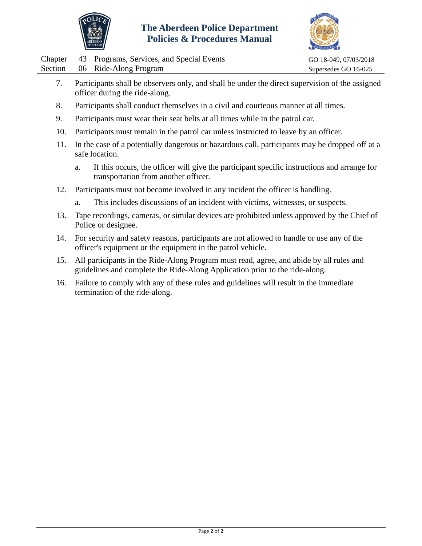



|  | Chapter 43 Programs, Services, and Special Events | GO 18-049, 07/03/2018 |
|--|---------------------------------------------------|-----------------------|
|  | Section 06 Ride-Along Program                     | Supersedes GO 16-025  |

- 7. Participants shall be observers only, and shall be under the direct supervision of the assigned officer during the ride-along.
- 8. Participants shall conduct themselves in a civil and courteous manner at all times.
- 9. Participants must wear their seat belts at all times while in the patrol car.
- 10. Participants must remain in the patrol car unless instructed to leave by an officer.
- 11. In the case of a potentially dangerous or hazardous call, participants may be dropped off at a safe location.
	- a. If this occurs, the officer will give the participant specific instructions and arrange for transportation from another officer.
- 12. Participants must not become involved in any incident the officer is handling.
	- a. This includes discussions of an incident with victims, witnesses, or suspects.
- 13. Tape recordings, cameras, or similar devices are prohibited unless approved by the Chief of Police or designee.
- 14. For security and safety reasons, participants are not allowed to handle or use any of the officer's equipment or the equipment in the patrol vehicle.
- 15. All participants in the Ride-Along Program must read, agree, and abide by all rules and guidelines and complete the Ride-Along Application prior to the ride-along.
- 16. Failure to comply with any of these rules and guidelines will result in the immediate termination of the ride-along.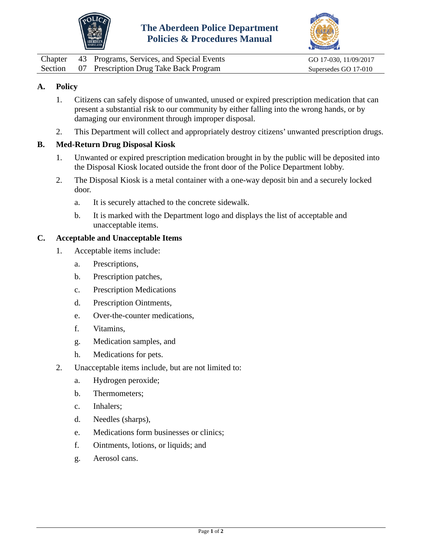



<span id="page-13-0"></span>

|  | Chapter 43 Programs, Services, and Special Events | GO 17-030, 11/09/2017 |
|--|---------------------------------------------------|-----------------------|
|  | Section 07 Prescription Drug Take Back Program    | Supersedes GO 17-010  |

- 1. Citizens can safely dispose of unwanted, unused or expired prescription medication that can present a substantial risk to our community by either falling into the wrong hands, or by damaging our environment through improper disposal.
- 2. This Department will collect and appropriately destroy citizens' unwanted prescription drugs.

## **B. Med-Return Drug Disposal Kiosk**

- 1. Unwanted or expired prescription medication brought in by the public will be deposited into the Disposal Kiosk located outside the front door of the Police Department lobby.
- 2. The Disposal Kiosk is a metal container with a one-way deposit bin and a securely locked door.
	- a. It is securely attached to the concrete sidewalk.
	- b. It is marked with the Department logo and displays the list of acceptable and unacceptable items.

### **C. Acceptable and Unacceptable Items**

- 1. Acceptable items include:
	- a. Prescriptions,
	- b. Prescription patches,
	- c. Prescription Medications
	- d. Prescription Ointments,
	- e. Over-the-counter medications,
	- f. Vitamins,
	- g. Medication samples, and
	- h. Medications for pets.
- 2. Unacceptable items include, but are not limited to:
	- a. Hydrogen peroxide;
	- b. Thermometers;
	- c. Inhalers;
	- d. Needles (sharps),
	- e. Medications form businesses or clinics;
	- f. Ointments, lotions, or liquids; and
	- g. Aerosol cans.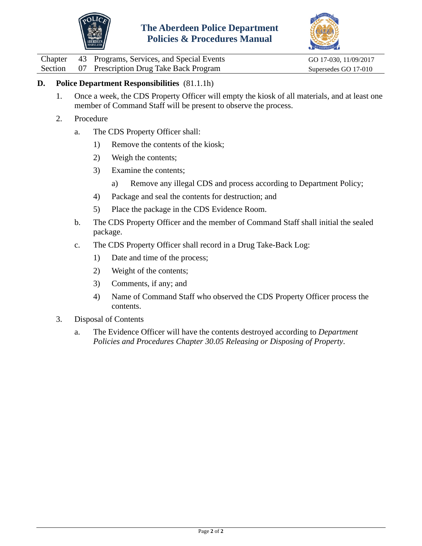



Chapter 43 Programs, Services, and Special Events GO 17-030, 11/09/2017<br>Section 07 Prescription Drug Take Back Program Supersedes GO 17-010

07 Prescription Drug Take Back Program Supersedes GO 17-010

## **D. Police Department Responsibilities** (81.1.1h)

- 1. Once a week, the CDS Property Officer will empty the kiosk of all materials, and at least one member of Command Staff will be present to observe the process.
- 2. Procedure
	- a. The CDS Property Officer shall:
		- 1) Remove the contents of the kiosk;
		- 2) Weigh the contents;
		- 3) Examine the contents;
			- a) Remove any illegal CDS and process according to Department Policy;
		- 4) Package and seal the contents for destruction; and
		- 5) Place the package in the CDS Evidence Room.
	- b. The CDS Property Officer and the member of Command Staff shall initial the sealed package.
	- c. The CDS Property Officer shall record in a Drug Take-Back Log:
		- 1) Date and time of the process;
		- 2) Weight of the contents;
		- 3) Comments, if any; and
		- 4) Name of Command Staff who observed the CDS Property Officer process the contents.
- 3. Disposal of Contents
	- a. The Evidence Officer will have the contents destroyed according to *Department Policies and Procedures Chapter 30.05 Releasing or Disposing of Property*.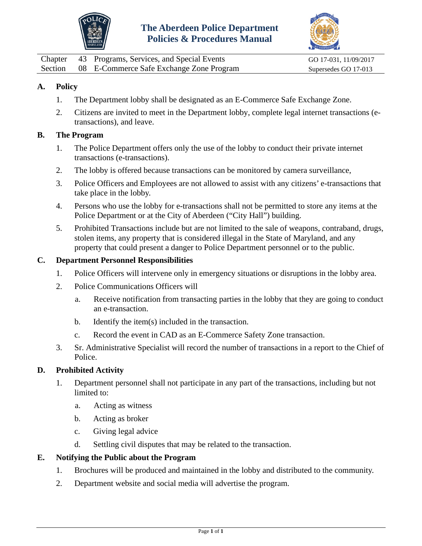



<span id="page-15-0"></span>Chapter 43 Programs, Services, and Special Events GO 17-031, 11/09/2017 Section 08 E-Commerce Safe Exchange Zone Program Supersedes GO 17-013

## **A. Policy**

- 1. The Department lobby shall be designated as an E-Commerce Safe Exchange Zone.
- 2. Citizens are invited to meet in the Department lobby, complete legal internet transactions (etransactions), and leave.

#### **B. The Program**

- 1. The Police Department offers only the use of the lobby to conduct their private internet transactions (e-transactions).
- 2. The lobby is offered because transactions can be monitored by camera surveillance,
- 3. Police Officers and Employees are not allowed to assist with any citizens' e-transactions that take place in the lobby.
- 4. Persons who use the lobby for e-transactions shall not be permitted to store any items at the Police Department or at the City of Aberdeen ("City Hall") building.
- 5. Prohibited Transactions include but are not limited to the sale of weapons, contraband, drugs, stolen items, any property that is considered illegal in the State of Maryland, and any property that could present a danger to Police Department personnel or to the public.

#### **C. Department Personnel Responsibilities**

- 1. Police Officers will intervene only in emergency situations or disruptions in the lobby area.
- 2. Police Communications Officers will
	- a. Receive notification from transacting parties in the lobby that they are going to conduct an e-transaction.
	- b. Identify the item(s) included in the transaction.
	- c. Record the event in CAD as an E-Commerce Safety Zone transaction.
- 3. Sr. Administrative Specialist will record the number of transactions in a report to the Chief of Police.

#### **D. Prohibited Activity**

- 1. Department personnel shall not participate in any part of the transactions, including but not limited to:
	- a. Acting as witness
	- b. Acting as broker
	- c. Giving legal advice
	- d. Settling civil disputes that may be related to the transaction.

### **E. Notifying the Public about the Program**

- 1. Brochures will be produced and maintained in the lobby and distributed to the community.
- 2. Department website and social media will advertise the program.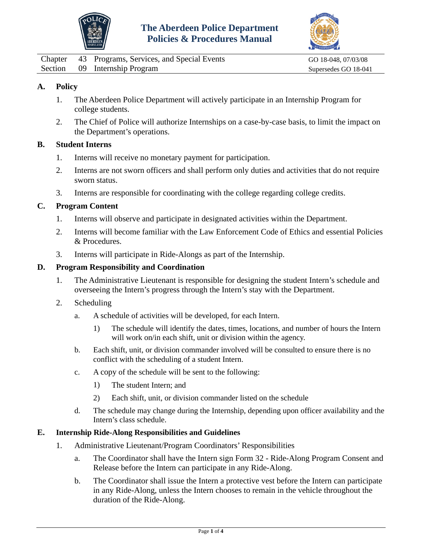



<span id="page-16-0"></span>Chapter 43 Programs, Services, and Special Events GO 18-048, 07/03/08 Section 09 Internship Program Supersedes GO 18-041

## **A. Policy**

- 1. The Aberdeen Police Department will actively participate in an Internship Program for college students.
- 2. The Chief of Police will authorize Internships on a case-by-case basis, to limit the impact on the Department's operations.

### **B. Student Interns**

- 1. Interns will receive no monetary payment for participation.
- 2. Interns are not sworn officers and shall perform only duties and activities that do not require sworn status.
- 3. Interns are responsible for coordinating with the college regarding college credits.

### **C. Program Content**

- 1. Interns will observe and participate in designated activities within the Department.
- 2. Interns will become familiar with the Law Enforcement Code of Ethics and essential Policies & Procedures.
- 3. Interns will participate in Ride-Alongs as part of the Internship.

#### **D. Program Responsibility and Coordination**

- 1. The Administrative Lieutenant is responsible for designing the student Intern's schedule and overseeing the Intern's progress through the Intern's stay with the Department.
- 2. Scheduling
	- a. A schedule of activities will be developed, for each Intern.
		- 1) The schedule will identify the dates, times, locations, and number of hours the Intern will work on/in each shift, unit or division within the agency.
	- b. Each shift, unit, or division commander involved will be consulted to ensure there is no conflict with the scheduling of a student Intern.
	- c. A copy of the schedule will be sent to the following:
		- 1) The student Intern; and
		- 2) Each shift, unit, or division commander listed on the schedule
	- d. The schedule may change during the Internship, depending upon officer availability and the Intern's class schedule.

#### **E. Internship Ride-Along Responsibilities and Guidelines**

- 1. Administrative Lieutenant/Program Coordinators' Responsibilities
	- a. The Coordinator shall have the Intern sign Form 32 Ride-Along Program Consent and Release before the Intern can participate in any Ride-Along.
	- b. The Coordinator shall issue the Intern a protective vest before the Intern can participate in any Ride-Along, unless the Intern chooses to remain in the vehicle throughout the duration of the Ride-Along.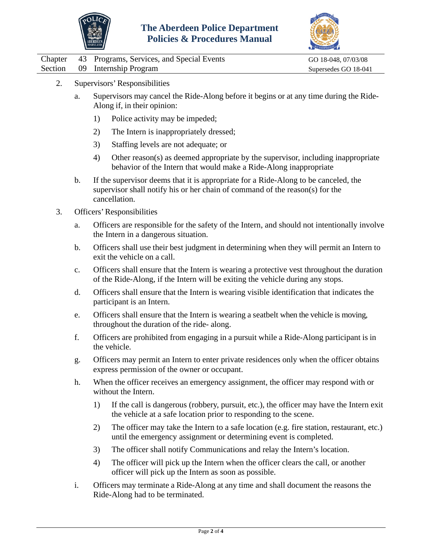



|  |  | Chapter 43 Programs, Services, and Special Events |  |  |  |  |
|--|--|---------------------------------------------------|--|--|--|--|
|--|--|---------------------------------------------------|--|--|--|--|

GO 18-048, 07/03/08 Section 09 Internship Program Supersedes GO 18-041

- 2. Supervisors' Responsibilities
	- a. Supervisors may cancel the Ride-Along before it begins or at any time during the Ride-Along if, in their opinion:
		- 1) Police activity may be impeded;
		- 2) The Intern is inappropriately dressed;
		- 3) Staffing levels are not adequate; or
		- 4) Other reason(s) as deemed appropriate by the supervisor, including inappropriate behavior of the Intern that would make a Ride-Along inappropriate
	- b. If the supervisor deems that it is appropriate for a Ride-Along to be canceled, the supervisor shall notify his or her chain of command of the reason(s) for the cancellation.
- 3. Officers'Responsibilities
	- a. Officers are responsible for the safety of the Intern, and should not intentionally involve the Intern in a dangerous situation.
	- b. Officers shall use their best judgment in determining when they will permit an Intern to exit the vehicle on a call.
	- c. Officers shall ensure that the Intern is wearing a protective vest throughout the duration of the Ride-Along, if the Intern will be exiting the vehicle during any stops.
	- d. Officers shall ensure that the Intern is wearing visible identification that indicates the participant is an Intern.
	- e. Officers shall ensure that the Intern is wearing a seatbelt when the vehicle is moving, throughout the duration of the ride- along.
	- f. Officers are prohibited from engaging in a pursuit while a Ride-Along participant is in the vehicle.
	- g. Officers may permit an Intern to enter private residences only when the officer obtains express permission of the owner or occupant.
	- h. When the officer receives an emergency assignment, the officer may respond with or without the Intern.
		- 1) If the call is dangerous (robbery, pursuit, etc.), the officer may have the Intern exit the vehicle at a safe location prior to responding to the scene.
		- 2) The officer may take the Intern to a safe location (e.g. fire station, restaurant, etc.) until the emergency assignment or determining event is completed.
		- 3) The officer shall notify Communications and relay the Intern's location.
		- 4) The officer will pick up the Intern when the officer clears the call, or another officer will pick up the Intern as soon as possible.
	- i. Officers may terminate a Ride-Along at any time and shall document the reasons the Ride-Along had to be terminated.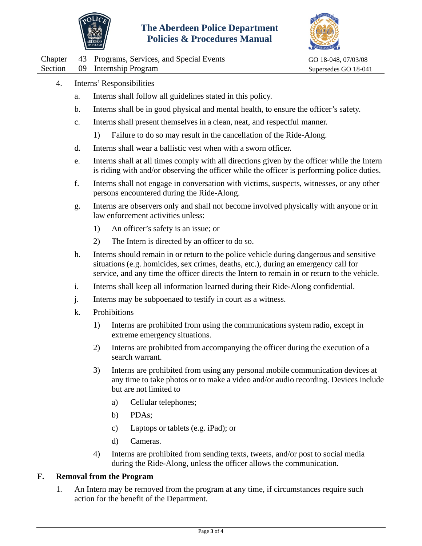



Chapter 43 Programs, Services, and Special Events GO 18-048, 07/03/08

Section 09 Internship Program Supersedes GO 18-041

- 4. Interns' Responsibilities
	- a. Interns shall follow all guidelines stated in this policy.
	- b. Interns shall be in good physical and mental health, to ensure the officer's safety.
	- c. Interns shall present themselves in a clean, neat, and respectful manner.
		- 1) Failure to do so may result in the cancellation of the Ride-Along.
	- d. Interns shall wear a ballistic vest when with a sworn officer.
	- e. Interns shall at all times comply with all directions given by the officer while the Intern is riding with and/or observing the officer while the officer is performing police duties.
	- f. Interns shall not engage in conversation with victims, suspects, witnesses, or any other persons encountered during the Ride-Along.
	- g. Interns are observers only and shall not become involved physically with anyone or in law enforcement activities unless:
		- 1) An officer's safety is an issue; or
		- 2) The Intern is directed by an officer to do so.
	- h. Interns should remain in or return to the police vehicle during dangerous and sensitive situations (e.g. homicides, sex crimes, deaths, etc.), during an emergency call for service, and any time the officer directs the Intern to remain in or return to the vehicle.
	- i. Interns shall keep all information learned during their Ride-Along confidential.
	- j. Interns may be subpoenaed to testify in court as a witness.
	- k. Prohibitions
		- 1) Interns are prohibited from using the communications system radio, except in extreme emergency situations.
		- 2) Interns are prohibited from accompanying the officer during the execution of a search warrant.
		- 3) Interns are prohibited from using any personal mobile communication devices at any time to take photos or to make a video and/or audio recording. Devices include but are not limited to
			- a) Cellular telephones;
			- b) PDAs;
			- c) Laptops or tablets (e.g. iPad); or
			- d) Cameras.
		- 4) Interns are prohibited from sending texts, tweets, and/or post to social media during the Ride-Along, unless the officer allows the communication.

### **F. Removal from the Program**

1. An Intern may be removed from the program at any time, if circumstances require such action for the benefit of the Department.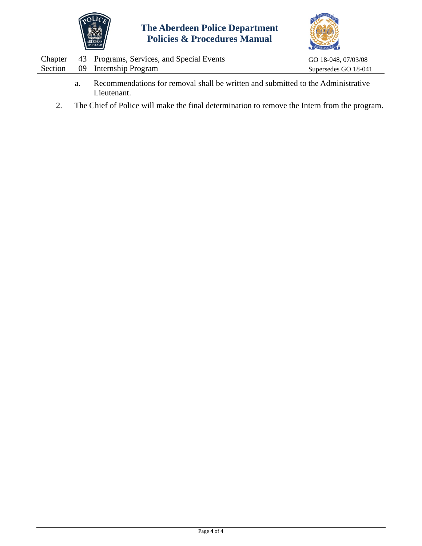



| Chapter | 43 Programs, Services, and Special Events                                        | GO 18-048, 07/03/08  |
|---------|----------------------------------------------------------------------------------|----------------------|
|         | Section 09 Internship Program                                                    | Supersedes GO 18-041 |
|         | Decommondations for removal shall be written and submitted to the Administrative |                      |

- a. Recommendations for removal shall be written and submitted to the Administrative Lieutenant.
- 2. The Chief of Police will make the final determination to remove the Intern from the program.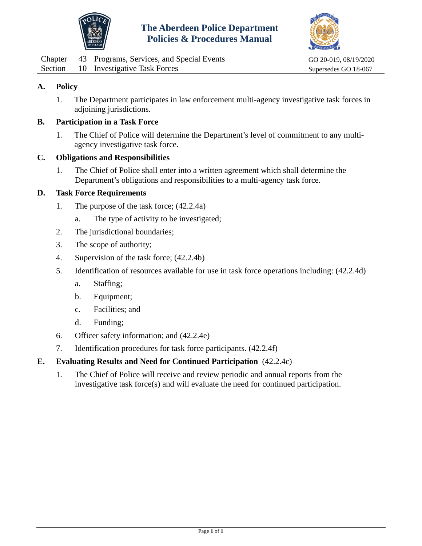



<span id="page-20-0"></span>

|  | Chapter 43 Programs, Services, and Special Events | GO 20-019, 08/19/2020 |
|--|---------------------------------------------------|-----------------------|
|  | Section 10 Investigative Task Forces              | Supersedes GO 18-067  |

1. The Department participates in law enforcement multi-agency investigative task forces in adjoining jurisdictions.

### **B. Participation in a Task Force**

1. The Chief of Police will determine the Department's level of commitment to any multiagency investigative task force.

#### **C. Obligations and Responsibilities**

1. The Chief of Police shall enter into a written agreement which shall determine the Department's obligations and responsibilities to a multi-agency task force.

## **D. Task Force Requirements**

- 1. The purpose of the task force; (42.2.4a)
	- a. The type of activity to be investigated;
- 2. The jurisdictional boundaries;
- 3. The scope of authority;
- 4. Supervision of the task force; (42.2.4b)
- 5. Identification of resources available for use in task force operations including: (42.2.4d)
	- a. Staffing;
	- b. Equipment;
	- c. Facilities; and
	- d. Funding;
- 6. Officer safety information; and (42.2.4e)
- 7. Identification procedures for task force participants. (42.2.4f)

#### **E. Evaluating Results and Need for Continued Participation** (42.2.4c)

1. The Chief of Police will receive and review periodic and annual reports from the investigative task force(s) and will evaluate the need for continued participation.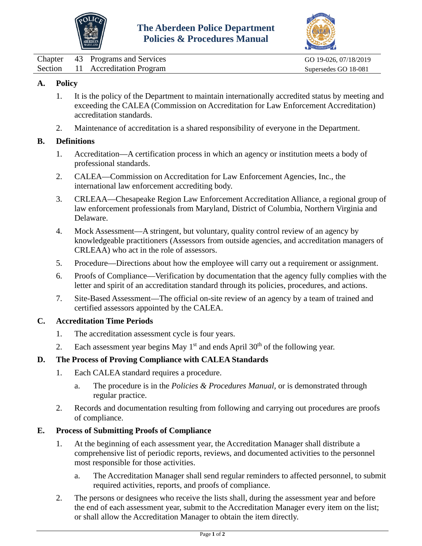



<span id="page-21-0"></span>

|  | Chapter 43 Programs and Services | GO 19-026, 07/18/2019 |
|--|----------------------------------|-----------------------|
|  | Section 11 Accreditation Program | Supersedes GO 18-081  |

- 1. It is the policy of the Department to maintain internationally accredited status by meeting and exceeding the CALEA (Commission on Accreditation for Law Enforcement Accreditation) accreditation standards.
- 2. Maintenance of accreditation is a shared responsibility of everyone in the Department.

## **B. Definitions**

- 1. Accreditation—A certification process in which an agency or institution meets a body of professional standards.
- 2. CALEA—Commission on Accreditation for Law Enforcement Agencies, Inc., the international law enforcement accrediting body.
- 3. CRLEAA—Chesapeake Region Law Enforcement Accreditation Alliance, a regional group of law enforcement professionals from Maryland, District of Columbia, Northern Virginia and Delaware.
- 4. Mock Assessment—A stringent, but voluntary, quality control review of an agency by knowledgeable practitioners (Assessors from outside agencies, and accreditation managers of CRLEAA) who act in the role of assessors.
- 5. Procedure—Directions about how the employee will carry out a requirement or assignment.
- 6. Proofs of Compliance—Verification by documentation that the agency fully complies with the letter and spirit of an accreditation standard through its policies, procedures, and actions.
- 7. Site-Based Assessment—The official on-site review of an agency by a team of trained and certified assessors appointed by the CALEA.

### **C. Accreditation Time Periods**

- 1. The accreditation assessment cycle is four years.
- 2. Each assessment year begins May  $1<sup>st</sup>$  and ends April 30<sup>th</sup> of the following year.

## **D. The Process of Proving Compliance with CALEA Standards**

- 1. Each CALEA standard requires a procedure.
	- a. The procedure is in the *Policies & Procedures Manual,* or is demonstrated through regular practice.
- 2. Records and documentation resulting from following and carrying out procedures are proofs of compliance.

## **E. Process of Submitting Proofs of Compliance**

- 1. At the beginning of each assessment year, the Accreditation Manager shall distribute a comprehensive list of periodic reports, reviews, and documented activities to the personnel most responsible for those activities.
	- a. The Accreditation Manager shall send regular reminders to affected personnel, to submit required activities, reports, and proofs of compliance.
- 2. The persons or designees who receive the lists shall, during the assessment year and before the end of each assessment year, submit to the Accreditation Manager every item on the list; or shall allow the Accreditation Manager to obtain the item directly.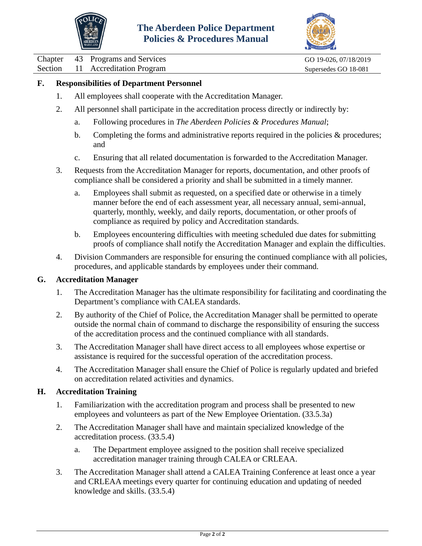



Chapter 43 Programs and Services GO 19-026, 07/18/2019

Section 11 Accreditation Program Supersedes GO 18-081

## **F. Responsibilities of Department Personnel**

- 1. All employees shall cooperate with the Accreditation Manager.
- 2. All personnel shall participate in the accreditation process directly or indirectly by:
	- a. Following procedures in *The Aberdeen Policies & Procedures Manual*;
	- b. Completing the forms and administrative reports required in the policies  $\&$  procedures; and
	- c. Ensuring that all related documentation is forwarded to the Accreditation Manager.
- 3. Requests from the Accreditation Manager for reports, documentation, and other proofs of compliance shall be considered a priority and shall be submitted in a timely manner.
	- a. Employees shall submit as requested, on a specified date or otherwise in a timely manner before the end of each assessment year, all necessary annual, semi-annual, quarterly, monthly, weekly, and daily reports, documentation, or other proofs of compliance as required by policy and Accreditation standards.
	- b. Employees encountering difficulties with meeting scheduled due dates for submitting proofs of compliance shall notify the Accreditation Manager and explain the difficulties.
- 4. Division Commanders are responsible for ensuring the continued compliance with all policies, procedures, and applicable standards by employees under their command.

### **G. Accreditation Manager**

- 1. The Accreditation Manager has the ultimate responsibility for facilitating and coordinating the Department's compliance with CALEA standards.
- 2. By authority of the Chief of Police, the Accreditation Manager shall be permitted to operate outside the normal chain of command to discharge the responsibility of ensuring the success of the accreditation process and the continued compliance with all standards.
- 3. The Accreditation Manager shall have direct access to all employees whose expertise or assistance is required for the successful operation of the accreditation process.
- 4. The Accreditation Manager shall ensure the Chief of Police is regularly updated and briefed on accreditation related activities and dynamics.

### **H. Accreditation Training**

- 1. Familiarization with the accreditation program and process shall be presented to new employees and volunteers as part of the New Employee Orientation. (33.5.3a)
- 2. The Accreditation Manager shall have and maintain specialized knowledge of the accreditation process. (33.5.4)
	- a. The Department employee assigned to the position shall receive specialized accreditation manager training through CALEA or CRLEAA.
- 3. The Accreditation Manager shall attend a CALEA Training Conference at least once a year and CRLEAA meetings every quarter for continuing education and updating of needed knowledge and skills. (33.5.4)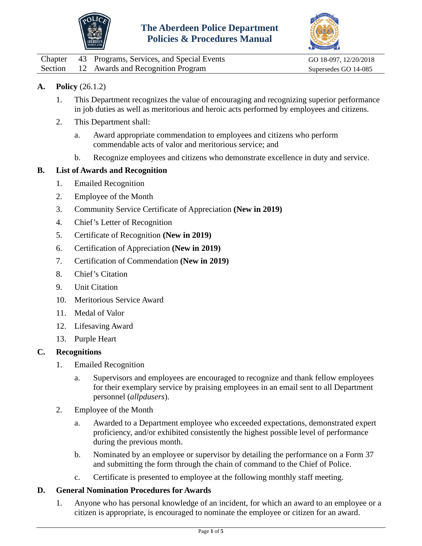



<span id="page-23-0"></span>

| Chapter | 43 Programs, Services, and Special Events | GO 18-097, 12/20/2018 |
|---------|-------------------------------------------|-----------------------|
|         | Section 12 Awards and Recognition Program | Supersedes GO 14-085  |

## **A. Policy** (26.1.2)

- 1. This Department recognizes the value of encouraging and recognizing superior performance in job duties as well as meritorious and heroic acts performed by employees and citizens.
- 2. This Department shall:
	- a. Award appropriate commendation to employees and citizens who perform commendable acts of valor and meritorious service; and
	- b. Recognize employees and citizens who demonstrate excellence in duty and service.

#### **B. List of Awards and Recognition**

- 1. Emailed Recognition
- 2. Employee of the Month
- 3. Community Service Certificate of Appreciation **(New in 2019)**
- 4. Chief's Letter of Recognition
- 5. Certificate of Recognition **(New in 2019)**
- 6. Certification of Appreciation **(New in 2019)**
- 7. Certification of Commendation **(New in 2019)**
- 8. Chief's Citation
- 9. Unit Citation
- 10. Meritorious Service Award
- 11. Medal of Valor
- 12. Lifesaving Award
- 13. Purple Heart

#### **C. Recognitions**

- 1. Emailed Recognition
	- a. Supervisors and employees are encouraged to recognize and thank fellow employees for their exemplary service by praising employees in an email sent to all Department personnel (*allpdusers*).
- 2. Employee of the Month
	- a. Awarded to a Department employee who exceeded expectations, demonstrated expert proficiency, and/or exhibited consistently the highest possible level of performance during the previous month.
	- b. Nominated by an employee or supervisor by detailing the performance on a Form 37 and submitting the form through the chain of command to the Chief of Police.
	- c. Certificate is presented to employee at the following monthly staff meeting.

#### **D. General Nomination Procedures for Awards**

1. Anyone who has personal knowledge of an incident, for which an award to an employee or a citizen is appropriate, is encouraged to nominate the employee or citizen for an award.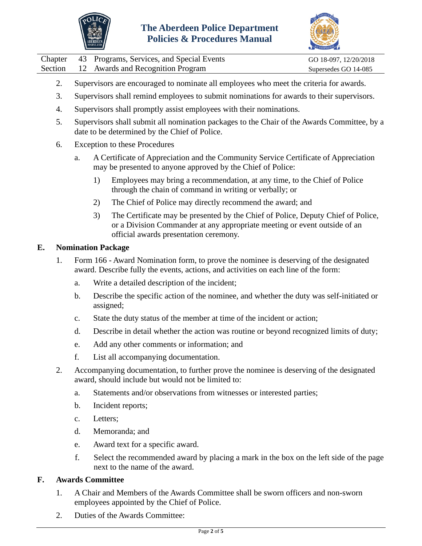



|  | Chapter 43 Programs, Services, and Special Events | GO 18-097, 12/20/2018 |
|--|---------------------------------------------------|-----------------------|
|  | Section 12 Awards and Recognition Program         | Supersedes GO 14-085  |

- 2. Supervisors are encouraged to nominate all employees who meet the criteria for awards.
- 3. Supervisors shall remind employees to submit nominations for awards to their supervisors.
- 4. Supervisors shall promptly assist employees with their nominations.
- 5. Supervisors shall submit all nomination packages to the Chair of the Awards Committee, by a date to be determined by the Chief of Police.
- 6. Exception to these Procedures
	- a. A Certificate of Appreciation and the Community Service Certificate of Appreciation may be presented to anyone approved by the Chief of Police:
		- 1) Employees may bring a recommendation, at any time, to the Chief of Police through the chain of command in writing or verbally; or
		- 2) The Chief of Police may directly recommend the award; and
		- 3) The Certificate may be presented by the Chief of Police, Deputy Chief of Police, or a Division Commander at any appropriate meeting or event outside of an official awards presentation ceremony.

### **E. Nomination Package**

- 1. Form 166 Award Nomination form, to prove the nominee is deserving of the designated award. Describe fully the events, actions, and activities on each line of the form:
	- a. Write a detailed description of the incident;
	- b. Describe the specific action of the nominee, and whether the duty was self-initiated or assigned;
	- c. State the duty status of the member at time of the incident or action;
	- d. Describe in detail whether the action was routine or beyond recognized limits of duty;
	- e. Add any other comments or information; and
	- f. List all accompanying documentation.
- 2. Accompanying documentation, to further prove the nominee is deserving of the designated award, should include but would not be limited to:
	- a. Statements and/or observations from witnesses or interested parties;
	- b. Incident reports;
	- c. Letters;
	- d. Memoranda; and
	- e. Award text for a specific award.
	- f. Select the recommended award by placing a mark in the box on the left side of the page next to the name of the award.

### **F. Awards Committee**

- 1. A Chair and Members of the Awards Committee shall be sworn officers and non-sworn employees appointed by the Chief of Police.
- 2. Duties of the Awards Committee: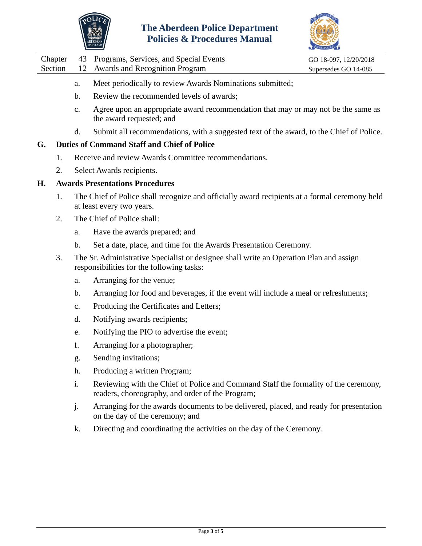



|  | Chapter 43 Programs, Services, and Special Events | GO 18-097, 12/20/2018 |
|--|---------------------------------------------------|-----------------------|
|  | Section 12 Awards and Recognition Program         | Supersedes GO 14-085  |

- a. Meet periodically to review Awards Nominations submitted;
- b. Review the recommended levels of awards;
- c. Agree upon an appropriate award recommendation that may or may not be the same as the award requested; and
- d. Submit all recommendations, with a suggested text of the award, to the Chief of Police.

## **G. Duties of Command Staff and Chief of Police**

- 1. Receive and review Awards Committee recommendations.
- 2. Select Awards recipients.

### **H. Awards Presentations Procedures**

- 1. The Chief of Police shall recognize and officially award recipients at a formal ceremony held at least every two years.
- 2. The Chief of Police shall:
	- a. Have the awards prepared; and
	- b. Set a date, place, and time for the Awards Presentation Ceremony.
- 3. The Sr. Administrative Specialist or designee shall write an Operation Plan and assign responsibilities for the following tasks:
	- a. Arranging for the venue;
	- b. Arranging for food and beverages, if the event will include a meal or refreshments;
	- c. Producing the Certificates and Letters;
	- d. Notifying awards recipients;
	- e. Notifying the PIO to advertise the event;
	- f. Arranging for a photographer;
	- g. Sending invitations;
	- h. Producing a written Program;
	- i. Reviewing with the Chief of Police and Command Staff the formality of the ceremony, readers, choreography, and order of the Program;
	- j. Arranging for the awards documents to be delivered, placed, and ready for presentation on the day of the ceremony; and
	- k. Directing and coordinating the activities on the day of the Ceremony.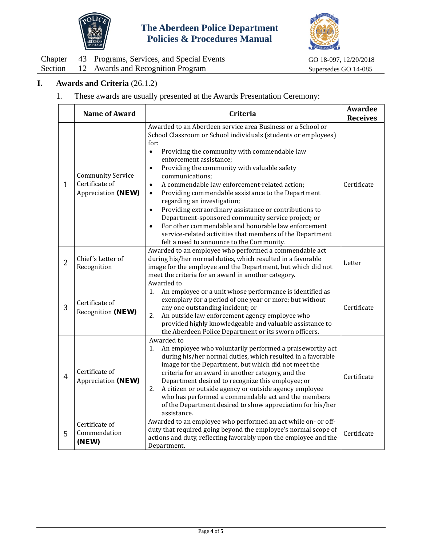



|  | Chapter 43 Programs, Services, and Special Events | GO 18-0 |
|--|---------------------------------------------------|---------|
|  | Section 12 Awards and Recognition Program         | Superse |

097, 12/20/2018  $edes GO 14-085$ 

# **I. Awards and Criteria** (26.1.2)

## 1. These awards are usually presented at the Awards Presentation Ceremony:

|                | <b>Name of Award</b>                                             | Criteria                                                                                                                                                                                                                                                                                                                                                                                                                                                                                                                                                                                                                                                                                                                                                                                 | Awardee<br><b>Receives</b> |
|----------------|------------------------------------------------------------------|------------------------------------------------------------------------------------------------------------------------------------------------------------------------------------------------------------------------------------------------------------------------------------------------------------------------------------------------------------------------------------------------------------------------------------------------------------------------------------------------------------------------------------------------------------------------------------------------------------------------------------------------------------------------------------------------------------------------------------------------------------------------------------------|----------------------------|
| $\mathbf{1}$   | <b>Community Service</b><br>Certificate of<br>Appreciation (NEW) | Awarded to an Aberdeen service area Business or a School or<br>School Classroom or School individuals (students or employees)<br>for:<br>Providing the community with commendable law<br>$\bullet$<br>enforcement assistance;<br>Providing the community with valuable safety<br>$\bullet$<br>communications;<br>A commendable law enforcement-related action;<br>$\bullet$<br>Providing commendable assistance to the Department<br>$\bullet$<br>regarding an investigation;<br>Providing extraordinary assistance or contributions to<br>$\bullet$<br>Department-sponsored community service project; or<br>For other commendable and honorable law enforcement<br>$\bullet$<br>service-related activities that members of the Department<br>felt a need to announce to the Community. | Certificate                |
| $\overline{2}$ | Chief's Letter of<br>Recognition                                 | Awarded to an employee who performed a commendable act<br>during his/her normal duties, which resulted in a favorable<br>image for the employee and the Department, but which did not<br>meet the criteria for an award in another category.                                                                                                                                                                                                                                                                                                                                                                                                                                                                                                                                             | Letter                     |
| 3              | Certificate of<br>Recognition (NEW)                              | Awarded to<br>An employee or a unit whose performance is identified as<br>1.<br>exemplary for a period of one year or more; but without<br>any one outstanding incident; or<br>An outside law enforcement agency employee who<br>2.<br>provided highly knowledgeable and valuable assistance to<br>the Aberdeen Police Department or its sworn officers.                                                                                                                                                                                                                                                                                                                                                                                                                                 | Certificate                |
| $\overline{4}$ | Certificate of<br>Appreciation (NEW)                             | Awarded to<br>An employee who voluntarily performed a praiseworthy act<br>1.<br>during his/her normal duties, which resulted in a favorable<br>image for the Department, but which did not meet the<br>criteria for an award in another category, and the<br>Department desired to recognize this employee; or<br>2.<br>A citizen or outside agency or outside agency employee<br>who has performed a commendable act and the members<br>of the Department desired to show appreciation for his/her<br>assistance.                                                                                                                                                                                                                                                                       | Certificate                |
| 5              | Certificate of<br>Commendation<br>(NEW)                          | Awarded to an employee who performed an act while on- or off-<br>duty that required going beyond the employee's normal scope of<br>actions and duty, reflecting favorably upon the employee and the<br>Department.                                                                                                                                                                                                                                                                                                                                                                                                                                                                                                                                                                       | Certificate                |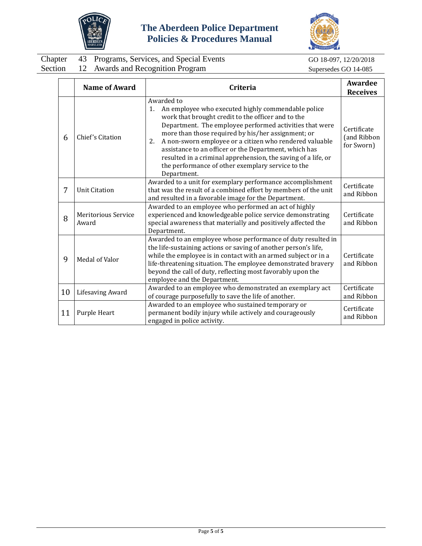



|  | Chapter 43 Programs, Services, and Special Events | GO 18-097, 12/20/2018 |
|--|---------------------------------------------------|-----------------------|
|  | Section 12 Awards and Recognition Program         | Supersedes GO 14-085  |

GO 18-097, 12/20/2018

|    | <b>Name of Award</b>                | Criteria                                                                                                                                                                                                                                                                                                                                                                                                                                                                                                     | Awardee<br><b>Receives</b>               |
|----|-------------------------------------|--------------------------------------------------------------------------------------------------------------------------------------------------------------------------------------------------------------------------------------------------------------------------------------------------------------------------------------------------------------------------------------------------------------------------------------------------------------------------------------------------------------|------------------------------------------|
| 6  | Chief's Citation                    | Awarded to<br>An employee who executed highly commendable police<br>1.<br>work that brought credit to the officer and to the<br>Department. The employee performed activities that were<br>more than those required by his/her assignment; or<br>A non-sworn employee or a citizen who rendered valuable<br>2.<br>assistance to an officer or the Department, which has<br>resulted in a criminal apprehension, the saving of a life, or<br>the performance of other exemplary service to the<br>Department. | Certificate<br>(and Ribbon<br>for Sworn) |
| 7  | <b>Unit Citation</b>                | Awarded to a unit for exemplary performance accomplishment<br>that was the result of a combined effort by members of the unit<br>and resulted in a favorable image for the Department.                                                                                                                                                                                                                                                                                                                       | Certificate<br>and Ribbon                |
| 8  | <b>Meritorious Service</b><br>Award | Awarded to an employee who performed an act of highly<br>experienced and knowledgeable police service demonstrating<br>special awareness that materially and positively affected the<br>Department.                                                                                                                                                                                                                                                                                                          | Certificate<br>and Ribbon                |
| 9  | Medal of Valor                      | Awarded to an employee whose performance of duty resulted in<br>the life-sustaining actions or saving of another person's life,<br>while the employee is in contact with an armed subject or in a<br>life-threatening situation. The employee demonstrated bravery<br>beyond the call of duty, reflecting most favorably upon the<br>employee and the Department.                                                                                                                                            | Certificate<br>and Ribbon                |
| 10 | <b>Lifesaving Award</b>             | Awarded to an employee who demonstrated an exemplary act<br>of courage purposefully to save the life of another.                                                                                                                                                                                                                                                                                                                                                                                             | Certificate<br>and Ribbon                |
| 11 | Purple Heart                        | Awarded to an employee who sustained temporary or<br>permanent bodily injury while actively and courageously<br>engaged in police activity.                                                                                                                                                                                                                                                                                                                                                                  | Certificate<br>and Ribbon                |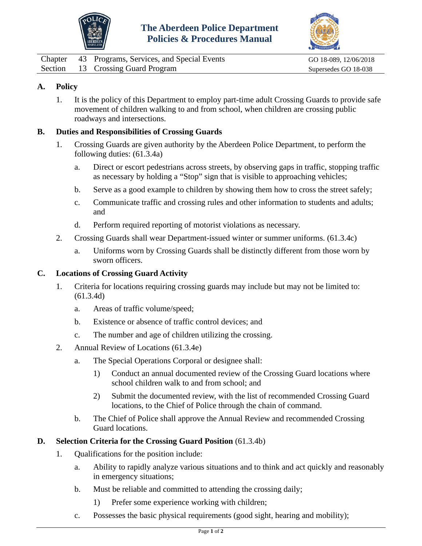



<span id="page-28-0"></span>

|  | Chapter 43 Programs, Services, and Special Events | GO 18-089, 12/06/2018 |
|--|---------------------------------------------------|-----------------------|
|  | Section 13 Crossing Guard Program                 | Supersedes GO 18-038  |

1. It is the policy of this Department to employ part-time adult Crossing Guards to provide safe movement of children walking to and from school, when children are crossing public roadways and intersections.

### **B. Duties and Responsibilities of Crossing Guards**

- 1. Crossing Guards are given authority by the Aberdeen Police Department, to perform the following duties: (61.3.4a)
	- a. Direct or escort pedestrians across streets, by observing gaps in traffic, stopping traffic as necessary by holding a "Stop" sign that is visible to approaching vehicles;
	- b. Serve as a good example to children by showing them how to cross the street safely;
	- c. Communicate traffic and crossing rules and other information to students and adults; and
	- d. Perform required reporting of motorist violations as necessary.
- 2. Crossing Guards shall wear Department-issued winter or summer uniforms. (61.3.4c)
	- a. Uniforms worn by Crossing Guards shall be distinctly different from those worn by sworn officers.

### **C. Locations of Crossing Guard Activity**

- 1. Criteria for locations requiring crossing guards may include but may not be limited to: (61.3.4d)
	- a. Areas of traffic volume/speed;
	- b. Existence or absence of traffic control devices; and
	- c. The number and age of children utilizing the crossing.
- 2. Annual Review of Locations (61.3.4e)
	- a. The Special Operations Corporal or designee shall:
		- 1) Conduct an annual documented review of the Crossing Guard locations where school children walk to and from school; and
		- 2) Submit the documented review, with the list of recommended Crossing Guard locations, to the Chief of Police through the chain of command.
	- b. The Chief of Police shall approve the Annual Review and recommended Crossing Guard locations.

### **D. Selection Criteria for the Crossing Guard Position** (61.3.4b)

- 1. Qualifications for the position include:
	- a. Ability to rapidly analyze various situations and to think and act quickly and reasonably in emergency situations;
	- b. Must be reliable and committed to attending the crossing daily;
		- 1) Prefer some experience working with children;
	- c. Possesses the basic physical requirements (good sight, hearing and mobility);